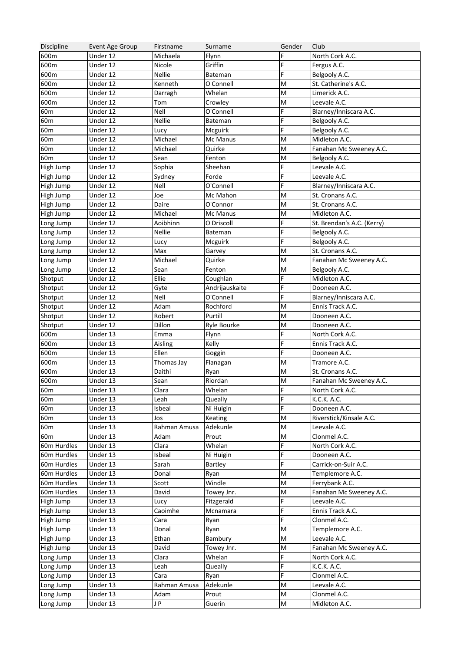| Discipline             | Event Age Group       | Firstname    | Surname            | Gender                                                                                                     | Club                       |
|------------------------|-----------------------|--------------|--------------------|------------------------------------------------------------------------------------------------------------|----------------------------|
| 600m                   | $\overline{$ Under 12 | Michaela     | Flynn              | F                                                                                                          | North Cork A.C.            |
| 600m                   | Under 12              | Nicole       | Griffin            | F                                                                                                          | Fergus A.C.                |
| 600m                   | Under 12              | Nellie       | Bateman            | F.                                                                                                         | Belgooly A.C.              |
| 600m                   | Under 12              | Kenneth      | O Connell          | M                                                                                                          | St. Catherine's A.C.       |
| 600m                   | Under 12              | Darragh      | Whelan             | M                                                                                                          | Limerick A.C.              |
| 600m                   | Under 12              | Tom          | Crowley            | M                                                                                                          | Leevale A.C.               |
| 60 <sub>m</sub>        | Under 12              | Nell         | O'Connell          | F.                                                                                                         | Blarney/Inniscara A.C.     |
| 60 <sub>m</sub>        | Under 12              | Nellie       | Bateman            | F.                                                                                                         | Belgooly A.C.              |
| 60 <sub>m</sub>        | Under 12              | Lucy         | Mcguirk            | F.                                                                                                         | Belgooly A.C.              |
| 60 <sub>m</sub>        | Under 12              | Michael      | Mc Manus           | M                                                                                                          | Midleton A.C.              |
| 60 <sub>m</sub>        | Under 12              | Michael      | Quirke             | M                                                                                                          | Fanahan Mc Sweeney A.C.    |
| 60 <sub>m</sub>        | Under 12              | Sean         | Fenton             | M                                                                                                          | Belgooly A.C.              |
| High Jump              | $\overline{$ Under 12 | Sophia       | Sheehan            | F.                                                                                                         | Leevale A.C.               |
| High Jump              | $\overline{$ Under 12 | Sydney       | Forde              | F.                                                                                                         | Leevale A.C.               |
| High Jump              | Under 12              | Nell         | O'Connell          | F.                                                                                                         | Blarney/Inniscara A.C.     |
| High Jump              | Under 12              | Joe          | Mc Mahon           | M                                                                                                          | St. Cronans A.C.           |
| High Jump              | Under 12              | Daire        | O'Connor           | M                                                                                                          | St. Cronans A.C.           |
| High Jump              | Under 12              | Michael      | Mc Manus           | M                                                                                                          | Midleton A.C.              |
| Long Jump              | Under 12              | Aoibhinn     | O Driscoll         | F                                                                                                          | St. Brendan's A.C. (Kerry) |
| Long Jump              | Under 12              | Nellie       | Bateman            | F                                                                                                          | Belgooly A.C.              |
| Long Jump              | Under 12              | Lucy         | Mcguirk            | F.                                                                                                         | Belgooly A.C.              |
| Long Jump              | Under 12              | Max          | Garvey             | M                                                                                                          | St. Cronans A.C.           |
| Long Jump              | Under 12              | Michael      | Quirke             | M                                                                                                          | Fanahan Mc Sweeney A.C.    |
| Long Jump              | $\overline{$ Under 12 | Sean         | Fenton             | M                                                                                                          | Belgooly A.C.              |
| Shotput                | $\overline{$ Under 12 | Ellie        | Coughlan           | F.                                                                                                         | Midleton A.C.              |
| Shotput                | Under 12              | Gyte         | Andrijauskaite     | F                                                                                                          | Dooneen A.C.               |
| Shotput                | Under 12              | Nell         | O'Connell          | F.                                                                                                         | Blarney/Inniscara A.C.     |
| Shotput                | Under 12              | Adam         | Rochford           | M                                                                                                          | Ennis Track A.C.           |
| Shotput                | Under 12              | Robert       | Purtill            | M                                                                                                          | Dooneen A.C.               |
| Shotput                | Under 12              | Dillon       | Ryle Bourke        | M                                                                                                          | Dooneen A.C.               |
| 600m                   | $\overline{$ Under 13 | Emma         | Flynn              | F.                                                                                                         | North Cork A.C.            |
| 600m                   | $\overline{$ Under 13 | Aisling      | Kelly              | F                                                                                                          | Ennis Track A.C.           |
| 600m                   | $\overline{$ Under 13 | Ellen        |                    | F.                                                                                                         | Dooneen A.C.               |
| 600m                   | $\overline{$ Under 13 | Thomas Jay   | Goggin<br>Flanagan | M                                                                                                          | Tramore A.C.               |
| 600m                   | Under 13              | Daithi       |                    | M                                                                                                          | St. Cronans A.C.           |
| 600m                   | Under 13              | Sean         | Ryan<br>Riordan    | M                                                                                                          | Fanahan Mc Sweeney A.C.    |
| 60m                    |                       | Clara        |                    | F                                                                                                          |                            |
|                        | Under 13              |              | Whelan<br>Queally  | F                                                                                                          | North Cork A.C.            |
| 60 <sub>m</sub><br>60m | Under 13<br>Under 13  | Leah         |                    | F                                                                                                          | K.C.K. A.C.                |
|                        |                       | Isbeal       | Ni Huigin          |                                                                                                            | Dooneen A.C.               |
| 60m                    | Under 13              | Jos          | Keating            | M                                                                                                          | Riverstick/Kinsale A.C.    |
| 60m                    | Under 13              | Rahman Amusa | Adekunle           | M                                                                                                          | Leevale A.C.               |
| 60m                    | Under 13              | Adam         | Prout              | M<br>F                                                                                                     | Clonmel A.C.               |
| 60m Hurdles            | Under 13              | Clara        | Whelan             |                                                                                                            | North Cork A.C.            |
| 60m Hurdles            | Under 13              | Isbeal       | Ni Huigin          | F                                                                                                          | Dooneen A.C.               |
| 60m Hurdles            | Under 13              | Sarah        | Bartley            | F                                                                                                          | Carrick-on-Suir A.C.       |
| 60m Hurdles            | Under 13              | Donal        | Ryan               | M                                                                                                          | Templemore A.C.            |
| 60m Hurdles            | Under 13              | Scott        | Windle             | M                                                                                                          | Ferrybank A.C.             |
| 60m Hurdles            | Under 13              | David        | Towey Jnr.         | M                                                                                                          | Fanahan Mc Sweeney A.C.    |
| High Jump              | Under 13              | Lucy         | Fitzgerald         | F                                                                                                          | Leevale A.C.               |
| High Jump              | Under 13              | Caoimhe      | Mcnamara           | F                                                                                                          | Ennis Track A.C.           |
| High Jump              | Under 13              | Cara         | Ryan               | F                                                                                                          | Clonmel A.C.               |
| High Jump              | Under 13              | Donal        | Ryan               | M                                                                                                          | Templemore A.C.            |
| High Jump              | Under 13              | Ethan        | Bambury            | M                                                                                                          | Leevale A.C.               |
| High Jump              | Under 13              | David        | Towey Jnr.         | M                                                                                                          | Fanahan Mc Sweeney A.C.    |
| Long Jump              | Under 13              | Clara        | Whelan             | F                                                                                                          | North Cork A.C.            |
| Long Jump              | Under 13              | Leah         | Queally            | F                                                                                                          | K.C.K. A.C.                |
| Long Jump              | Under 13              | Cara         | Ryan               | F                                                                                                          | Clonmel A.C.               |
| Long Jump              | Under 13              | Rahman Amusa | Adekunle           | M                                                                                                          | Leevale A.C.               |
| Long Jump              | Under 13              | Adam         | Prout              | M                                                                                                          | Clonmel A.C.               |
| Long Jump              | Under 13              | J P          | Guerin             | $\mathsf{M}% _{T}=\mathsf{M}_{T}\!\left( a,b\right) ,\ \mathsf{M}_{T}=\mathsf{M}_{T}\!\left( a,b\right) ,$ | Midleton A.C.              |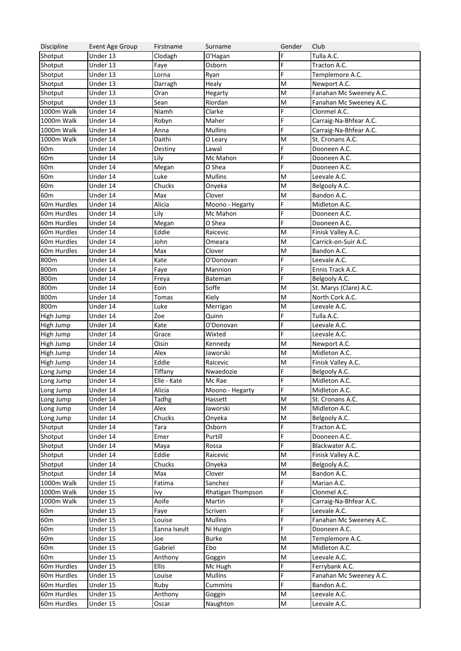| Discipline      | Event Age Group        | Firstname    | Surname           | Gender                                                                                | Club                    |
|-----------------|------------------------|--------------|-------------------|---------------------------------------------------------------------------------------|-------------------------|
| Shotput         | $\overline{$ Under 13  | Clodagh      | O'Hagan           | F                                                                                     | Tulla A.C.              |
| Shotput         | Under 13               | Faye         | Osborn            | F                                                                                     | Tracton A.C.            |
| Shotput         | Under 13               | Lorna        | Ryan              | F                                                                                     | Templemore A.C.         |
| Shotput         | Under 13               | Darragh      | Healy             | M                                                                                     | Newport A.C.            |
| Shotput         | Under 13               | Oran         | Hegarty           | M                                                                                     | Fanahan Mc Sweeney A.C. |
| Shotput         | Under 13               | Sean         | Riordan           | M                                                                                     | Fanahan Mc Sweeney A.C. |
| 1000m Walk      | Under 14               | Niamh        | Clarke            | F                                                                                     | Clonmel A.C.            |
| 1000m Walk      | Under 14               | Robyn        | Maher             | F                                                                                     | Carraig-Na-Bhfear A.C.  |
| 1000m Walk      | Under 14               | Anna         | <b>Mullins</b>    | F                                                                                     | Carraig-Na-Bhfear A.C.  |
| 1000m Walk      | Under 14               | Daithi       | O Leary           | M                                                                                     | St. Cronans A.C.        |
| 60 <sub>m</sub> | Under 14               | Destiny      | Lawal             | F                                                                                     | Dooneen A.C.            |
| 60m             | Under 14               | Lily         | Mc Mahon          | F                                                                                     | Dooneen A.C.            |
| 60m             | Under 14               | Megan        | O Shea            | F                                                                                     | Dooneen A.C.            |
| 60m             | Under 14               | Luke         | <b>Mullins</b>    | M                                                                                     | Leevale A.C.            |
| 60m             | Under 14               | Chucks       | Onyeka            | M                                                                                     | Belgooly A.C.           |
| 60 <sub>m</sub> | Under 14               | Max          | Clover            | M                                                                                     | Bandon A.C.             |
| 60m Hurdles     | Under 14               | Alicia       | Moono - Hegarty   | F                                                                                     | Midleton A.C.           |
| 60m Hurdles     | Under 14               | Lily         | Mc Mahon          | F                                                                                     | Dooneen A.C.            |
| 60m Hurdles     | $\overline{U}$ nder 14 | Megan        | O Shea            | F                                                                                     | Dooneen A.C.            |
| 60m Hurdles     | Under 14               | Eddie        | Raicevic          | M                                                                                     | Finisk Valley A.C.      |
| 60m Hurdles     | Under 14               |              |                   |                                                                                       |                         |
|                 |                        | John         | Omeara            | M                                                                                     | Carrick-on-Suir A.C.    |
| 60m Hurdles     | Under 14               | Max          | Clover            | M                                                                                     | Bandon A.C.             |
| 800m            | Under 14               | Kate         | O'Donovan         | F                                                                                     | Leevale A.C.            |
| 800m            | Under 14               | Faye         | Mannion           | F                                                                                     | Ennis Track A.C.        |
| 800m            | Under 14               | Freya        | Bateman           | F                                                                                     | Belgooly A.C.           |
| 800m            | Under 14               | Eoin         | Soffe             | M                                                                                     | St. Marys (Clare) A.C.  |
| 800m            | Under 14               | Tomas        | Kiely             | M                                                                                     | North Cork A.C.         |
| 800m            | Under 14               | Luke         | Merrigan          | M                                                                                     | Leevale A.C.            |
| High Jump       | $\overline{U}$ nder 14 | Zoe          | Quinn             | F                                                                                     | Tulla A.C.              |
| High Jump       | Under 14               | Kate         | O'Donovan         | F                                                                                     | Leevale A.C.            |
| High Jump       | Under 14               | Grace        | Wixted            | F                                                                                     | Leevale A.C.            |
| High Jump       | Under 14               | Oisin        | Kennedy           | M                                                                                     | Newport A.C.            |
| High Jump       | Under 14               | Alex         | Jaworski          | M                                                                                     | Midleton A.C.           |
| High Jump       | Under 14               | Eddie        | Raicevic          | M                                                                                     | Finisk Valley A.C.      |
| Long Jump       | Under 14               | Tiffany      | Nwaedozie         | F                                                                                     | Belgooly A.C.           |
| Long Jump       | Under 14               | Elle - Kate  | Mc Rae            | F                                                                                     | Midleton A.C.           |
| Long Jump       | Under 14               | Alicia       | Moono - Hegarty   | F                                                                                     | Midleton A.C.           |
| Long Jump       | Under 14               | Tadhg        | Hassett           | M                                                                                     | St. Cronans A.C.        |
| Long Jump       | Under 14               | Alex         | Jaworski          | M                                                                                     | Midleton A.C.           |
| Long Jump       | Under 14               | Chucks       | Onyeka            | $\mathsf{M}% _{T}=\mathsf{M}_{T}\!\left( a,b\right) ,\ \mathsf{M}_{T}=\mathsf{M}_{T}$ | Belgooly A.C.           |
| Shotput         | Under 14               | Tara         | Osborn            | F                                                                                     | Tracton A.C.            |
| Shotput         | Under 14               | Emer         | Purtill           | F                                                                                     | Dooneen A.C.            |
| Shotput         | Under 14               | Maya         | Rossa             | F                                                                                     | Blackwater A.C.         |
| Shotput         | Under 14               | Eddie        | Raicevic          | M                                                                                     | Finisk Valley A.C.      |
| Shotput         | $\overline{U}$ nder 14 | Chucks       | Onyeka            | M                                                                                     | Belgooly A.C.           |
| Shotput         | Under 14               | Max          | Clover            | $\mathsf{M}% _{T}=\mathsf{M}_{T}\!\left( a,b\right) ,\ \mathsf{M}_{T}=\mathsf{M}_{T}$ | Bandon A.C.             |
| 1000m Walk      | Under 15               | Fatima       | Sanchez           | F.                                                                                    | Marian A.C.             |
| 1000m Walk      | Under 15               | lvy          | Rhatigan Thompson | F                                                                                     | Clonmel A.C.            |
| 1000m Walk      | Under 15               | Aoife        | Martin            | F                                                                                     | Carraig-Na-Bhfear A.C.  |
| 60 <sub>m</sub> | Under 15               | Faye         | Scriven           | F                                                                                     | Leevale A.C.            |
| 60 <sub>m</sub> | Under 15               | Louise       | <b>Mullins</b>    | F                                                                                     | Fanahan Mc Sweeney A.C. |
| 60 <sub>m</sub> | Under 15               | Eanna Iseult | Ni Huigin         | F                                                                                     | Dooneen A.C.            |
| 60 <sub>m</sub> | Under 15               | Joe          | <b>Burke</b>      | M                                                                                     | Templemore A.C.         |
| 60m             | Under 15               | Gabriel      | Ebo               | M                                                                                     | Midleton A.C.           |
| 60 <sub>m</sub> | Under 15               | Anthony      |                   | $\mathsf{M}% _{T}=\mathsf{M}_{T}\!\left( a,b\right) ,\ \mathsf{M}_{T}=\mathsf{M}_{T}$ | Leevale A.C.            |
| 60m Hurdles     | Under 15               | Ellis        | Goggin            | F                                                                                     |                         |
|                 |                        |              | Mc Hugh           |                                                                                       | Ferrybank A.C.          |
| 60m Hurdles     | Under 15               | Louise       | <b>Mullins</b>    | F                                                                                     | Fanahan Mc Sweeney A.C. |
| 60m Hurdles     | Under 15               | Ruby         | Cummins           | F                                                                                     | Bandon A.C.             |
| 60m Hurdles     | Under 15               | Anthony      | Goggin            | M                                                                                     | Leevale A.C.            |
| 60m Hurdles     | Under 15               | Oscar        | Naughton          | ${\sf M}$                                                                             | Leevale A.C.            |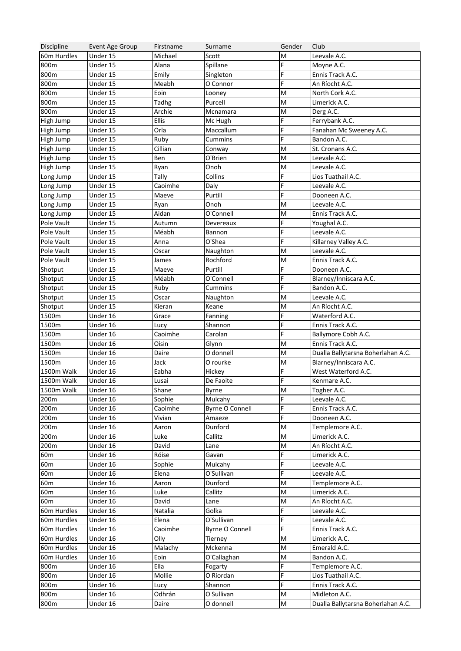| Discipline      | Event Age Group        | Firstname | Surname                | Gender | Club                               |
|-----------------|------------------------|-----------|------------------------|--------|------------------------------------|
| 60m Hurdles     | Under 15               | Michael   | Scott                  | M      | Leevale A.C.                       |
| 800m            | Under 15               | Alana     | Spillane               | F      | Moyne A.C.                         |
| 800m            | Under 15               | Emily     | Singleton              | F      | Ennis Track A.C.                   |
| 800m            | Under 15               | Meabh     | O Connor               | F      | An Ríocht A.C.                     |
| 800m            | Under 15               | Eoin      | Looney                 | M      | North Cork A.C.                    |
| 800m            | Under 15               | Tadhg     | Purcell                | M      | Limerick A.C.                      |
| 800m            | Under 15               | Archie    | Mcnamara               | M      | Derg A.C.                          |
| High Jump       | Under 15               | Ellis     | Mc Hugh                | F.     | Ferrybank A.C.                     |
| High Jump       | Under 15               | Orla      | Maccallum              | F      | Fanahan Mc Sweeney A.C.            |
| High Jump       | Under 15               | Ruby      | Cummins                | F.     | Bandon A.C.                        |
| High Jump       | Under 15               | Cillian   | Conway                 | M      | St. Cronans A.C.                   |
| High Jump       | Under 15               | Ben       | O'Brien                | M      | Leevale A.C.                       |
| High Jump       | Under 15               | Ryan      | Onoh                   | M      | Leevale A.C.                       |
| Long Jump       | Under 15               | Tally     | Collins                | F      | Lios Tuathail A.C.                 |
| Long Jump       | Under 15               | Caoimhe   | Daly                   | F      | Leevale A.C.                       |
| Long Jump       | Under 15               | Maeve     | Purtill                | F      | Dooneen A.C.                       |
| Long Jump       | Under 15               | Ryan      | Onoh                   | M      | Leevale A.C.                       |
| Long Jump       | Under 15               | Aidan     | O'Connell              | M      | Ennis Track A.C.                   |
| Pole Vault      | Under 15               | Autumn    | Devereaux              | F      | Youghal A.C.                       |
| Pole Vault      | Under 15               | Méabh     |                        | F      | Leevale A.C.                       |
| Pole Vault      |                        | Anna      | Bannon                 | F.     |                                    |
|                 | Under 15               |           | O'Shea                 |        | Killarney Valley A.C.              |
| Pole Vault      | Under 15               | Oscar     | Naughton               | M      | Leevale A.C.                       |
| Pole Vault      | Under 15               | James     | Rochford               | M      | Ennis Track A.C.                   |
| Shotput         | Under 15               | Maeve     | Purtill                | F      | Dooneen A.C.                       |
| Shotput         | Under 15               | Méabh     | O'Connell              | F      | Blarney/Inniscara A.C.             |
| Shotput         | Under 15               | Ruby      | Cummins                | F      | Bandon A.C.                        |
| Shotput         | Under 15               | Oscar     | Naughton               | M      | Leevale A.C.                       |
| Shotput         | Under 15               | Kieran    | Keane                  | M      | An Ríocht A.C.                     |
| 1500m           | Under 16               | Grace     | Fanning                | F      | Waterford A.C.                     |
| 1500m           | Under 16               | Lucy      | Shannon                | F      | Ennis Track A.C.                   |
| 1500m           | Under 16               | Caoimhe   | Carolan                | F      | Ballymore Cobh A.C.                |
| 1500m           | Under 16               | Oisin     | Glynn                  | M      | Ennis Track A.C.                   |
| 1500m           | Under 16               | Daire     | O donnell              | M      | Dualla Ballytarsna Boherlahan A.C. |
| 1500m           | Under 16               | Jack      | O rourke               | M      | Blarney/Inniscara A.C.             |
| 1500m Walk      | $\overline{U}$ nder 16 | Eabha     | Hickey                 | F.     | West Waterford A.C.                |
| 1500m Walk      | Under 16               | Lusai     | De Faoite              | F      | Kenmare A.C.                       |
| 1500m Walk      | Under 16               | Shane     | Byrne                  | M      | Togher A.C.                        |
| 200m            | Under 16               | Sophie    | Mulcahy                | F      | Leevale A.C.                       |
| 200m            | Under 16               | Caoimhe   | <b>Byrne O Connell</b> | F      | Ennis Track A.C.                   |
| 200m            | Under 16               | Vivian    | Amaeze                 | F.     | Dooneen A.C.                       |
| 200m            | Under 16               | Aaron     | Dunford                | M      | Templemore A.C.                    |
| 200m            | Under 16               | Luke      | Callitz                | M      | Limerick A.C.                      |
| 200m            | Under 16               | David     | Lane                   | M      | An Ríocht A.C.                     |
| 60 <sub>m</sub> | Under 16               | Róise     | Gavan                  | F      | Limerick A.C.                      |
| 60 <sub>m</sub> | Under 16               | Sophie    | Mulcahy                | F      | Leevale A.C.                       |
| 60 <sub>m</sub> | Under 16               | Elena     | O'Sullivan             | F      | Leevale A.C.                       |
| 60 <sub>m</sub> | Under 16               | Aaron     | Dunford                | M      | Templemore A.C.                    |
| 60 <sub>m</sub> | Under 16               | Luke      | Callitz                | M      | Limerick A.C.                      |
| 60m             | Under 16               | David     | Lane                   | M      | An Ríocht A.C.                     |
| 60m Hurdles     | Under 16               | Natalia   | Golka                  | F      | Leevale A.C.                       |
| 60m Hurdles     | Under 16               | Elena     | O'Sullivan             | F      | Leevale A.C.                       |
| 60m Hurdles     | Under 16               | Caoimhe   | <b>Byrne O Connell</b> | F      | Ennis Track A.C.                   |
| 60m Hurdles     | Under 16               | Olly      | Tierney                | M      | Limerick A.C.                      |
| 60m Hurdles     | Under 16               | Malachy   | Mckenna                | M      | Emerald A.C.                       |
| 60m Hurdles     | Under 16               | Eoin      | O'Callaghan            | M      | Bandon A.C.                        |
| 800m            | Under 16               | Ella      | Fogarty                | F      | Templemore A.C.                    |
| 800m            | Under 16               | Mollie    | O Riordan              | F      | Lios Tuathail A.C.                 |
| 800m            | Under 16               | Lucy      | Shannon                | F      | Ennis Track A.C.                   |
| 800m            | Under 16               | Odhrán    | O Sullivan             | M      | Midleton A.C.                      |
|                 |                        |           |                        |        |                                    |
| 800m            | Under 16               | Daire     | O donnell              | M      | Dualla Ballytarsna Boherlahan A.C. |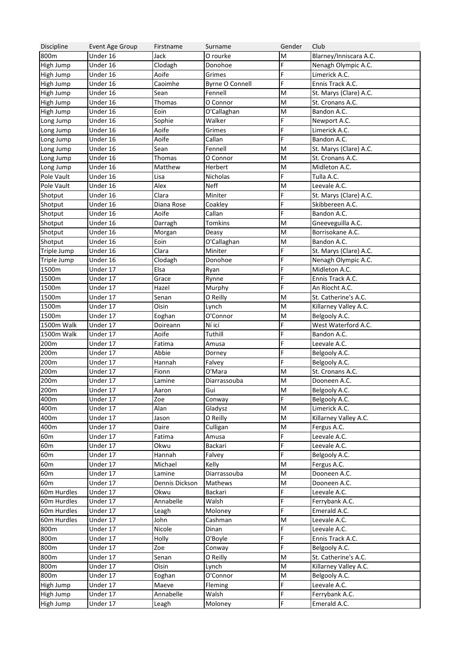| Discipline      | Event Age Group        | Firstname          | Surname                | Gender                                                                                | Club                   |
|-----------------|------------------------|--------------------|------------------------|---------------------------------------------------------------------------------------|------------------------|
| 800m            | $\overline{$ Under 16  | Jack               | O rourke               | M                                                                                     | Blarney/Inniscara A.C. |
| High Jump       | Under 16               | Clodagh            | Donohoe                | F                                                                                     | Nenagh Olympic A.C.    |
| High Jump       | Under 16               | Aoife              | Grimes                 | F                                                                                     | Limerick A.C.          |
| High Jump       | Under 16               | Caoimhe            | <b>Byrne O Connell</b> | F                                                                                     | Ennis Track A.C.       |
| High Jump       | Under 16               | Sean               | Fennell                | M                                                                                     | St. Marys (Clare) A.C. |
| High Jump       | Under 16               | Thomas             | O Connor               | M                                                                                     | St. Cronans A.C.       |
| High Jump       | Under 16               | Eoin               | O'Callaghan            | M                                                                                     | Bandon A.C.            |
| Long Jump       | Under 16               | Sophie             | Walker                 | F                                                                                     | Newport A.C.           |
| Long Jump       | Under 16               | Aoife              | Grimes                 | F                                                                                     | Limerick A.C.          |
| Long Jump       | Under 16               | Aoife              | Callan                 | F                                                                                     | Bandon A.C.            |
| Long Jump       | Under 16               | Sean               | Fennell                | M                                                                                     | St. Marys (Clare) A.C. |
| Long Jump       | $\overline{U}$ nder 16 | Thomas             | O Connor               | M                                                                                     | St. Cronans A.C.       |
| Long Jump       | Under 16               | Matthew            | Herbert                | M                                                                                     | Midleton A.C.          |
| Pole Vault      | Under 16               | Lisa               | Nicholas               | F                                                                                     | Tulla A.C.             |
| Pole Vault      | Under 16               | Alex               | <b>Neff</b>            | M                                                                                     | Leevale A.C.           |
| Shotput         | Under 16               | Clara              | Miniter                | F                                                                                     | St. Marys (Clare) A.C. |
| Shotput         | Under 16               | Diana Rose         | Coakley                | F                                                                                     | Skibbereen A.C.        |
| Shotput         | Under 16               | Aoife              | Callan                 | F                                                                                     | Bandon A.C.            |
| Shotput         | $\overline{U}$ nder 16 | Darragh            | <b>Tomkins</b>         | M                                                                                     | Gneeveguilla A.C.      |
| Shotput         | Under 16               | Morgan             | Deasy                  | M                                                                                     | Borrisokane A.C.       |
| Shotput         | Under 16               | Eoin               | O'Callaghan            | M                                                                                     | Bandon A.C.            |
| Triple Jump     | Under 16               | Clara              | Miniter                | F                                                                                     | St. Marys (Clare) A.C. |
| Triple Jump     | $\overline{U}$ nder 16 | Clodagh            | Donohoe                | F                                                                                     | Nenagh Olympic A.C.    |
| 1500m           | Under 17               | Elsa               | Ryan                   | F                                                                                     | Midleton A.C.          |
| 1500m           | Under 17               | Grace              | Rynne                  | F                                                                                     | Ennis Track A.C.       |
| 1500m           | Under 17               | Hazel              | Murphy                 | F                                                                                     | An Ríocht A.C.         |
| 1500m           | Under 17               | Senan              | O Reilly               | M                                                                                     | St. Catherine's A.C.   |
| 1500m           | Under 17               | Oisin              |                        | M                                                                                     | Killarney Valley A.C.  |
| 1500m           | Under 17               |                    | Lynch<br>O'Connor      | M                                                                                     | Belgooly A.C.          |
| 1500m Walk      | Under 17               | Eoghan<br>Doireann | Ní icí                 | F                                                                                     | West Waterford A.C.    |
|                 |                        |                    |                        | F                                                                                     |                        |
| 1500m Walk      | Under 17               | Aoife              | Tuthill                | F                                                                                     | Bandon A.C.            |
| 200m            | Under 17               | Fatima             | Amusa                  | F                                                                                     | Leevale A.C.           |
| 200m            | Under 17               | Abbie              | Dorney                 |                                                                                       | Belgooly A.C.          |
| 200m            | Under 17               | Hannah             | Falvey                 | F                                                                                     | Belgooly A.C.          |
| 200m            | Under 17               | Fionn              | O'Mara                 | M                                                                                     | St. Cronans A.C.       |
| 200m            | Under 17               | Lamine             | Diarrassouba           | M                                                                                     | Dooneen A.C.           |
| 200m            | Under 17               | Aaron              | Gui                    | $\mathsf{M}% _{T}=\mathsf{M}_{T}\!\left( a,b\right) ,\ \mathsf{M}_{T}=\mathsf{M}_{T}$ | Belgooly A.C.          |
| 400m            | Under 17               | Zoe                | Conway                 | F                                                                                     | Belgooly A.C.          |
| 400m            | Under 17               | Alan               | Gladysz                | M                                                                                     | Limerick A.C.          |
| 400m            | Under 17               | Jason              | O Reilly               | M                                                                                     | Killarney Valley A.C.  |
| 400m            | Under 17               | Daire              | Culligan               | M                                                                                     | Fergus A.C.            |
| 60 <sub>m</sub> | Under 17               | Fatima             | Amusa                  | F                                                                                     | Leevale A.C.           |
| 60 <sub>m</sub> | Under 17               | Okwu               | Backari                | $\mathsf F$                                                                           | Leevale A.C.           |
| 60m             | Under 17               | Hannah             | Falvey                 | $\mathsf F$                                                                           | Belgooly A.C.          |
| 60m             | Under 17               | Michael            | Kelly                  | M                                                                                     | Fergus A.C.            |
| 60 <sub>m</sub> | Under 17               | Lamine             | Diarrassouba           | M                                                                                     | Dooneen A.C.           |
| 60m             | Under 17               | Dennis Dickson     | Mathews                | M                                                                                     | Dooneen A.C.           |
| 60m Hurdles     | Under 17               | Okwu               | Backari                | F                                                                                     | Leevale A.C.           |
| 60m Hurdles     | Under 17               | Annabelle          | Walsh                  | $\mathsf F$                                                                           | Ferrybank A.C.         |
| 60m Hurdles     | Under 17               | Leagh              | Moloney                | $\mathsf F$                                                                           | Emerald A.C.           |
| 60m Hurdles     | Under 17               | John               | Cashman                | M                                                                                     | Leevale A.C.           |
| 800m            | Under 17               | Nicole             | Dinan                  | F                                                                                     | Leevale A.C.           |
| 800m            | Under 17               | Holly              | O'Boyle                | F                                                                                     | Ennis Track A.C.       |
| 800m            | Under 17               | Zoe                | Conway                 | $\mathsf F$                                                                           | Belgooly A.C.          |
| 800m            | Under 17               | Senan              | O Reilly               | M                                                                                     | St. Catherine's A.C.   |
| 800m            | Under 17               | Oisin              | Lynch                  | M                                                                                     | Killarney Valley A.C.  |
| 800m            | Under 17               | Eoghan             | O'Connor               | M                                                                                     | Belgooly A.C.          |
| High Jump       | Under 17               | Maeve              | Fleming                | $\mathsf F$                                                                           | Leevale A.C.           |
| High Jump       | Under 17               | Annabelle          | Walsh                  | F                                                                                     | Ferrybank A.C.         |
| High Jump       | Under 17               | Leagh              | Moloney                | F                                                                                     | Emerald A.C.           |
|                 |                        |                    |                        |                                                                                       |                        |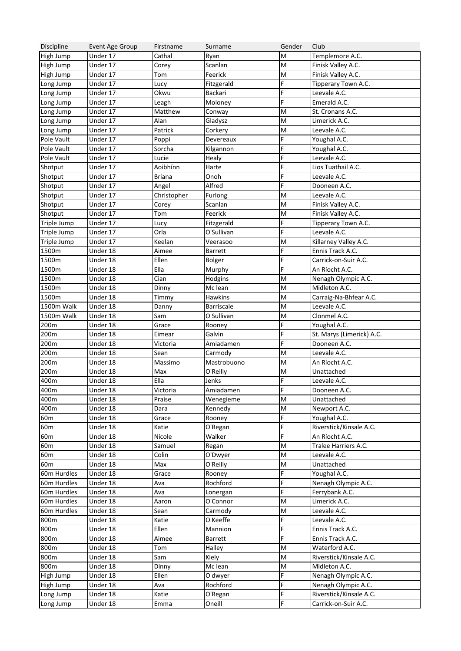| Discipline      | Event Age Group       | Firstname     | Surname           | Gender                                                                                | Club                      |
|-----------------|-----------------------|---------------|-------------------|---------------------------------------------------------------------------------------|---------------------------|
| High Jump       | Under 17              | Cathal        | Ryan              | M                                                                                     | Templemore A.C.           |
| High Jump       | Under 17              | Corey         | Scanlan           | M                                                                                     | Finisk Valley A.C.        |
| High Jump       | Under 17              | Tom           | Feerick           | M                                                                                     | Finisk Valley A.C.        |
| Long Jump       | Under 17              | Lucy          | Fitzgerald        | F                                                                                     | Tipperary Town A.C.       |
| Long Jump       | Under 17              | Okwu          | Backari           | F                                                                                     | Leevale A.C.              |
| Long Jump       | Under 17              | Leagh         | Moloney           | F                                                                                     | Emerald A.C.              |
| Long Jump       | Under 17              | Matthew       | Conway            | M                                                                                     | St. Cronans A.C.          |
| Long Jump       | Under 17              | Alan          | Gladysz           | M                                                                                     | Limerick A.C.             |
| Long Jump       | Under 17              | Patrick       | Corkery           | M                                                                                     | Leevale A.C.              |
| Pole Vault      | Under 17              | Poppi         | Devereaux         | F                                                                                     | Youghal A.C.              |
| Pole Vault      | Under 17              | Sorcha        | Kilgannon         | F                                                                                     | Youghal A.C.              |
| Pole Vault      | Under 17              | Lucie         | Healy             | F                                                                                     | Leevale A.C.              |
| Shotput         | $\overline{$ Under 17 | Aoibhínn      | Harte             | F                                                                                     | Lios Tuathail A.C.        |
| Shotput         | $\overline{$ Under 17 | <b>Briana</b> | Onoh              | F                                                                                     | Leevale A.C.              |
| Shotput         | $\overline{$ Under 17 | Angel         | Alfred            | F                                                                                     | Dooneen A.C.              |
| Shotput         | $\overline{$ Under 17 | Christopher   | Furlong           | M                                                                                     | Leevale A.C.              |
| Shotput         | $\overline{$ Under 17 | Corey         | Scanlan           | M                                                                                     | Finisk Valley A.C.        |
| Shotput         | $\overline{$ Under 17 | Tom           | Feerick           | M                                                                                     | Finisk Valley A.C.        |
| Triple Jump     | Under 17              | Lucy          | Fitzgerald        | F                                                                                     | Tipperary Town A.C.       |
| Triple Jump     | Under 17              | Orla          | O'Sullivan        | F                                                                                     | Leevale A.C.              |
| Triple Jump     | Under 17              | Keelan        | Veerasoo          | M                                                                                     | Killarney Valley A.C.     |
| 1500m           | $\overline{$ Under 18 | Aimee         | <b>Barrett</b>    | F                                                                                     | Ennis Track A.C.          |
| 1500m           | $\overline{$ Under 18 | Ellen         | <b>Bolger</b>     | F                                                                                     | Carrick-on-Suir A.C.      |
| 1500m           | $\overline{$ Under 18 | Ella          | Murphy            | F                                                                                     | An Ríocht A.C.            |
| 1500m           | $\overline{$ Under 18 | Cian          | Hodgins           | M                                                                                     | Nenagh Olympic A.C.       |
| 1500m           | $\overline{$ Under 18 | Dinny         | Mc lean           | M                                                                                     | Midleton A.C.             |
| 1500m           | $\overline{$ Under 18 | Timmy         | <b>Hawkins</b>    | M                                                                                     | Carraig-Na-Bhfear A.C.    |
| 1500m Walk      | Under 18              | Danny         | <b>Barriscale</b> | M                                                                                     | Leevale A.C.              |
| 1500m Walk      | Under 18              | Sam           | O Sullivan        | M                                                                                     | Clonmel A.C.              |
| 200m            | $\overline{$ Under 18 | Grace         | Rooney            | F                                                                                     | Youghal A.C.              |
| 200m            | $\overline{$ Under 18 | Eimear        | Galvin            | F                                                                                     | St. Marys (Limerick) A.C. |
| 200m            | $\overline{$ Under 18 | Victoria      | Amiadamen         | F                                                                                     | Dooneen A.C.              |
| 200m            | $\overline{$ Under 18 | Sean          | Carmody           | M                                                                                     | Leevale A.C.              |
| 200m            | $\overline{$ Under 18 | Massimo       | Mastrobuono       | M                                                                                     | An Ríocht A.C.            |
| 200m            | Under 18              | Max           | O'Reilly          | M                                                                                     | Unattached                |
| 400m            | Under 18              | Ella          | Jenks             | F                                                                                     | Leevale A.C.              |
| 400m            | Under 18              | Victoria      | Amiadamen         | F                                                                                     | Dooneen A.C.              |
| 400m            | Under 18              | Praise        | Wenegieme         | M                                                                                     | Unattached                |
| 400m            | Under 18              | Dara          | Kennedy           | $\mathsf{M}% _{T}=\mathsf{M}_{T}\!\left( a,b\right) ,\ \mathsf{M}_{T}=\mathsf{M}_{T}$ | Newport A.C.              |
| 60 <sub>m</sub> | Under 18              | Grace         | Rooney            | F                                                                                     | Youghal A.C.              |
| 60m             | $\overline{$ Under 18 | Katie         | O'Regan           | F                                                                                     | Riverstick/Kinsale A.C.   |
| 60m             | $\overline{$ Under 18 | Nicole        | Walker            | F.                                                                                    | An Ríocht A.C.            |
| 60m             | Under 18              | Samuel        | Regan             | M                                                                                     | Tralee Harriers A.C.      |
| 60m             | Under 18              | Colin         | O'Dwyer           | $\mathsf{M}% _{T}=\mathsf{M}_{T}\!\left( a,b\right) ,\ \mathsf{M}_{T}=\mathsf{M}_{T}$ | Leevale A.C.              |
| 60m             | Under 18              | Max           | O'Reilly          | $\mathsf{M}% _{T}=\mathsf{M}_{T}\!\left( a,b\right) ,\ \mathsf{M}_{T}=\mathsf{M}_{T}$ | Unattached                |
| 60m Hurdles     | Under 18              | Grace         | Rooney            | F                                                                                     | Youghal A.C.              |
| 60m Hurdles     | Under 18              | Ava           | Rochford          | F                                                                                     | Nenagh Olympic A.C.       |
| 60m Hurdles     | Under 18              | Ava           | Lonergan          | F                                                                                     | Ferrybank A.C.            |
| 60m Hurdles     | Under 18              | Aaron         | O'Connor          | M                                                                                     | Limerick A.C.             |
| 60m Hurdles     | $\overline{$ Under 18 | Sean          | Carmody           | $\mathsf{M}% _{T}=\mathsf{M}_{T}\!\left( a,b\right) ,\ \mathsf{M}_{T}=\mathsf{M}_{T}$ | Leevale A.C.              |
| 800m            | Under 18              | Katie         | O Keeffe          | F                                                                                     | Leevale A.C.              |
| 800m            | Under 18              | Ellen         | Mannion           | F                                                                                     | Ennis Track A.C.          |
| 800m            | Under 18              | Aimee         | Barrett           | F                                                                                     | Ennis Track A.C.          |
| 800m            | Under 18              |               | Halley            | $\mathsf{M}% _{T}=\mathsf{M}_{T}\!\left( a,b\right) ,\ \mathsf{M}_{T}=\mathsf{M}_{T}$ | Waterford A.C.            |
| 800m            | Under 18              | Tom<br>Sam    | Kiely             | $\mathsf{M}% _{T}=\mathsf{M}_{T}\!\left( a,b\right) ,\ \mathsf{M}_{T}=\mathsf{M}_{T}$ | Riverstick/Kinsale A.C.   |
| 800m            | Under 18              |               | Mc lean           | $\mathsf{M}% _{T}=\mathsf{M}_{T}\!\left( a,b\right) ,\ \mathsf{M}_{T}=\mathsf{M}_{T}$ | Midleton A.C.             |
|                 | Under 18              | Dinny         |                   | F                                                                                     | Nenagh Olympic A.C.       |
| High Jump       |                       | Ellen         | O dwyer           | F                                                                                     |                           |
| High Jump       | Under 18              | Ava           | Rochford          | F                                                                                     | Nenagh Olympic A.C.       |
| Long Jump       | Under 18              | Katie         | O'Regan           |                                                                                       | Riverstick/Kinsale A.C.   |
| Long Jump       | Under 18              | Emma          | Oneill            | F                                                                                     | Carrick-on-Suir A.C.      |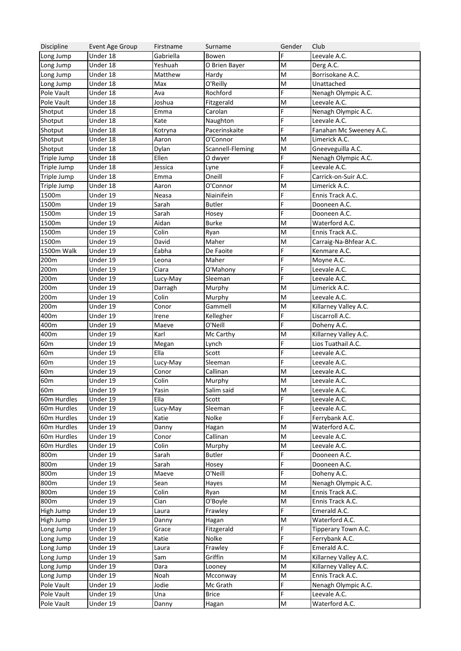| Discipline      | Event Age Group       | Firstname | Surname             | Gender                                                                                                     | Club                    |
|-----------------|-----------------------|-----------|---------------------|------------------------------------------------------------------------------------------------------------|-------------------------|
| Long Jump       | Under 18              | Gabriella | Bowen               | F                                                                                                          | Leevale A.C.            |
| Long Jump       | Under 18              | Yeshuah   | O Brien Bayer       | M                                                                                                          | Derg A.C.               |
| Long Jump       | Under 18              | Matthew   | Hardy               | M                                                                                                          | Borrisokane A.C.        |
| Long Jump       | Under 18              | Max       | O'Reilly            | M                                                                                                          | Unattached              |
| Pole Vault      | Under 18              | Ava       | Rochford            | F.                                                                                                         | Nenagh Olympic A.C.     |
| Pole Vault      | Under 18              | Joshua    | Fitzgerald          | M                                                                                                          | Leevale A.C.            |
| Shotput         | Under 18              | Emma      | Carolan             | F.                                                                                                         | Nenagh Olympic A.C.     |
| Shotput         | $\overline{$ Under 18 | Kate      | Naughton            | F.                                                                                                         | Leevale A.C.            |
| Shotput         | $\overline{$ Under 18 | Kotryna   | Pacerinskaite       | F.                                                                                                         | Fanahan Mc Sweeney A.C. |
| Shotput         | $\overline{$ Under 18 | Aaron     | O'Connor            | M                                                                                                          | Limerick A.C.           |
| Shotput         | $\overline{$ Under 18 | Dylan     | Scannell-Fleming    | M                                                                                                          | Gneeveguilla A.C.       |
| Triple Jump     | Under 18              | Ellen     | O dwyer             | F                                                                                                          | Nenagh Olympic A.C.     |
| Triple Jump     | $\overline{$ Under 18 | Jessica   | Lyne                | F                                                                                                          | Leevale A.C.            |
| Triple Jump     | Under 18              | Emma      | Oneill              | F.                                                                                                         | Carrick-on-Suir A.C.    |
| Triple Jump     | Under 18              | Aaron     | O'Connor            | M                                                                                                          | Limerick A.C.           |
| 1500m           | Under 19              | Neasa     | Niainifein          | F                                                                                                          | Ennis Track A.C.        |
| 1500m           | Under 19              | Sarah     | <b>Butler</b>       | F                                                                                                          | Dooneen A.C.            |
| 1500m           | Under 19              | Sarah     | Hosey               | F.                                                                                                         | Dooneen A.C.            |
| 1500m           | Under 19              | Aidan     | <b>Burke</b>        | M                                                                                                          | Waterford A.C.          |
| 1500m           | Under 19              | Colin     |                     | M                                                                                                          | Ennis Track A.C.        |
|                 | Under 19              |           | Ryan                |                                                                                                            |                         |
| 1500m           |                       | David     | Maher               | M<br>F.                                                                                                    | Carraig-Na-Bhfear A.C.  |
| 1500m Walk      | Under 19              | Éabha     | De Faoite           |                                                                                                            | Kenmare A.C.            |
| 200m            | Under 19              | Leona     | Maher               | F                                                                                                          | Moyne A.C.              |
| 200m            | Under 19              | Ciara     | O'Mahony            | F.                                                                                                         | Leevale A.C.            |
| 200m            | Under 19              | Lucy-May  | Sleeman             | F.                                                                                                         | Leevale A.C.            |
| 200m            | Under 19              | Darragh   | Murphy              | M                                                                                                          | Limerick A.C.           |
| 200m            | Under 19              | Colin     | Murphy              | M                                                                                                          | Leevale A.C.            |
| 200m            | Under 19              | Conor     | Gammell             | M                                                                                                          | Killarney Valley A.C.   |
| 400m            | Under 19              | Irene     | Kellegher           | F.                                                                                                         | Liscarroll A.C.         |
| 400m            | Under 19              | Maeve     | O'Neill             | F.                                                                                                         | Doheny A.C.             |
| 400m            | Under 19              | Karl      | Mc Carthy           | M                                                                                                          | Killarney Valley A.C.   |
| 60 <sub>m</sub> | $\overline{$ Under 19 | Megan     | Lynch               | F.                                                                                                         | Lios Tuathail A.C.      |
| 60 <sub>m</sub> | $\overline{$ Under 19 | Ella      | Scott               | F                                                                                                          | Leevale A.C.            |
| 60 <sub>m</sub> | $\overline{$ Under 19 | Lucy-May  | Sleeman             | F.                                                                                                         | Leevale A.C.            |
| 60 <sub>m</sub> | Under 19              | Conor     | Callinan            | M                                                                                                          | Leevale A.C.            |
| 60 <sub>m</sub> | Under 19              | Colin     | Murphy              | M                                                                                                          | Leevale A.C.            |
| 60 <sub>m</sub> | Under 19              | Yasin     | Salim said          | $\mathsf{M}% _{T}=\mathsf{M}_{T}\!\left( a,b\right) ,\ \mathsf{M}_{T}=\mathsf{M}_{T}$                      | Leevale A.C.            |
| 60m Hurdles     | Under 19              | Ella      | Scott               | F                                                                                                          | Leevale A.C.            |
| 60m Hurdles     | Under 19              | Lucy-May  | Sleeman             | F                                                                                                          | Leevale A.C.            |
| 60m Hurdles     | Under 19              | Katie     | Nolke               | F                                                                                                          | Ferrybank A.C.          |
| 60m Hurdles     | Under 19              | Danny     | Hagan               | M                                                                                                          | Waterford A.C.          |
| 60m Hurdles     | Under 19              | Conor     | Callinan            | M                                                                                                          | Leevale A.C.            |
| 60m Hurdles     | Under 19              | Colin     | Murphy              | M                                                                                                          | Leevale A.C.            |
| 800m            | Under 19              | Sarah     | <b>Butler</b>       | F                                                                                                          | Dooneen A.C.            |
| 800m            | Under 19              | Sarah     | Hosey               | F                                                                                                          | Dooneen A.C.            |
| 800m            | Under 19              | Maeve     | O'Neill             | F                                                                                                          | Doheny A.C.             |
| 800m            | Under 19              | Sean      | Hayes               | M                                                                                                          | Nenagh Olympic A.C.     |
| 800m            | Under 19              | Colin     | Ryan                | M                                                                                                          | Ennis Track A.C.        |
| 800m            | Under 19              | Cian      | O'Boyle             | $\mathsf{M}% _{T}=\mathsf{M}_{T}\!\left( a,b\right) ,\ \mathsf{M}_{T}=\mathsf{M}_{T}\!\left( a,b\right) ,$ | Ennis Track A.C.        |
| High Jump       | Under 19              | Laura     | Frawley             | F                                                                                                          | Emerald A.C.            |
| High Jump       | Under 19              |           |                     | M                                                                                                          | Waterford A.C.          |
| Long Jump       | Under 19              | Danny     | Hagan<br>Fitzgerald | F                                                                                                          | Tipperary Town A.C.     |
|                 | Under 19              | Grace     |                     | F                                                                                                          |                         |
| Long Jump       |                       | Katie     | Nolke               | F                                                                                                          | Ferrybank A.C.          |
| Long Jump       | Under 19              | Laura     | Frawley             |                                                                                                            | Emerald A.C.            |
| Long Jump       | Under 19              | Sam       | Griffin             | M                                                                                                          | Killarney Valley A.C.   |
| Long Jump       | Under 19              | Dara      | Looney              | $\mathsf{M}% _{T}=\mathsf{M}_{T}\!\left( a,b\right) ,\ \mathsf{M}_{T}=\mathsf{M}_{T}\!\left( a,b\right) ,$ | Killarney Valley A.C.   |
| Long Jump       | Under 19              | Noah      | Mcconway            | $\mathsf{M}% _{T}=\mathsf{M}_{T}\!\left( a,b\right) ,\ \mathsf{M}_{T}=\mathsf{M}_{T}\!\left( a,b\right) ,$ | Ennis Track A.C.        |
| Pole Vault      | Under 19              | Jodie     | Mc Grath            | F                                                                                                          | Nenagh Olympic A.C.     |
| Pole Vault      | Under 19              | Una       | <b>Brice</b>        | F                                                                                                          | Leevale A.C.            |
| Pole Vault      | Under 19              | Danny     | Hagan               | M                                                                                                          | Waterford A.C.          |